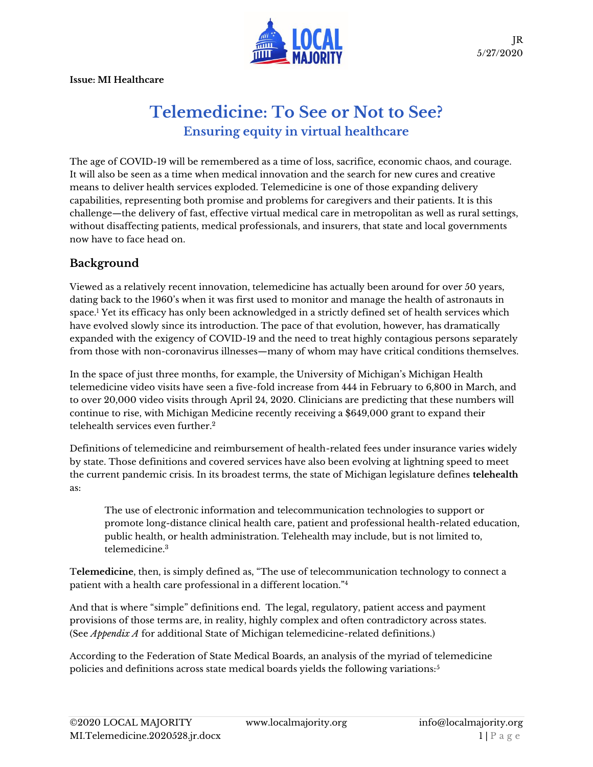

**Issue: MI Healthcare**

# **Telemedicine: To See or Not to See? Ensuring equity in virtual healthcare**

The age of COVID-19 will be remembered as a time of loss, sacrifice, economic chaos, and courage. It will also be seen as a time when medical innovation and the search for new cures and creative means to deliver health services exploded. Telemedicine is one of those expanding delivery capabilities, representing both promise and problems for caregivers and their patients. It is this challenge—the delivery of fast, effective virtual medical care in metropolitan as well as rural settings, without disaffecting patients, medical professionals, and insurers, that state and local governments now have to face head on.

### **Background**

Viewed as a relatively recent innovation, telemedicine has actually been around for over 50 years, dating back to the 1960's when it was first used to monitor and manage the health of astronauts in space.<sup>1</sup> Yet its efficacy has only been acknowledged in a strictly defined set of health services which have evolved slowly since its introduction. The pace of that evolution, however, has dramatically expanded with the exigency of COVID-19 and the need to treat highly contagious persons separately from those with non-coronavirus illnesses—many of whom may have critical conditions themselves.

In the space of just three months, for example, the University of Michigan's Michigan Health telemedicine video visits have seen a five-fold increase from 444 in February to 6,800 in March, and to over 20,000 video visits through April 24, 2020. Clinicians are predicting that these numbers will continue to rise, with Michigan Medicine recently receiving a \$649,000 grant to expand their telehealth services even further.<sup>2</sup>

Definitions of telemedicine and reimbursement of health-related fees under insurance varies widely by state. Those definitions and covered services have also been evolving at lightning speed to meet the current pandemic crisis. In its broadest terms, the state of Michigan legislature defines **telehealth** as:

The use of electronic information and telecommunication technologies to support or promote long-distance clinical health care, patient and professional health-related education, public health, or health administration. Telehealth may include, but is not limited to, telemedicine.<sup>3</sup>

T**elemedicine**, then, is simply defined as, "The use of telecommunication technology to connect a patient with a health care professional in a different location."<sup>4</sup>

And that is where "simple" definitions end. The legal, regulatory, patient access and payment provisions of those terms are, in reality, highly complex and often contradictory across states. (See *Appendix A* for additional State of Michigan telemedicine-related definitions.)

According to the Federation of State Medical Boards, an analysis of the myriad of telemedicine policies and definitions across state medical boards yields the following variations: $5$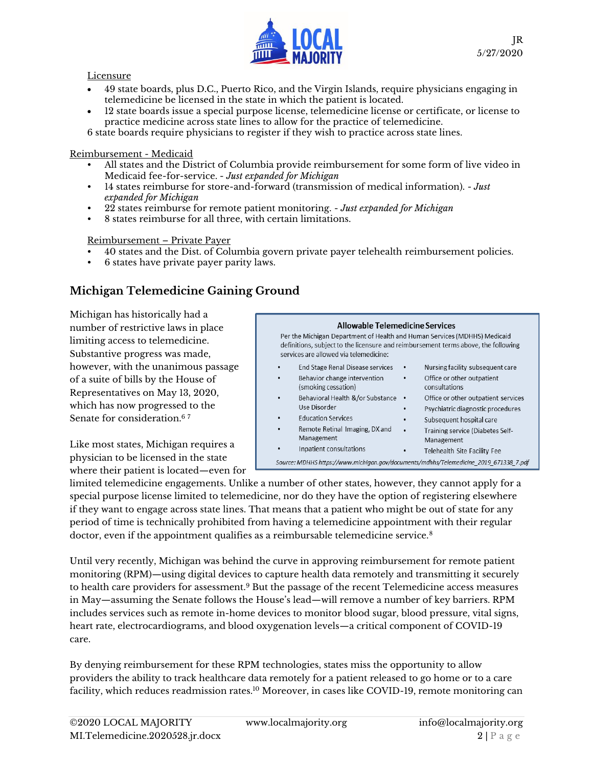

#### **Licensure**

- 49 state boards, plus D.C., Puerto Rico, and the Virgin Islands, require physicians engaging in telemedicine be licensed in the state in which the patient is located.
- 12 state boards issue a special purpose license, telemedicine license or certificate, or license to practice medicine across state lines to allow for the practice of telemedicine.

6 state boards require physicians to register if they wish to practice across state lines.

#### Reimbursement - Medicaid

- All states and the District of Columbia provide reimbursement for some form of live video in Medicaid fee-for-service. - *Just expanded for Michigan*
- 14 states reimburse for store-and-forward (transmission of medical information). *Just expanded for Michigan*
- 22 states reimburse for remote patient monitoring. *Just expanded for Michigan*
- 8 states reimburse for all three, with certain limitations.

#### Reimbursement – Private Payer

- 40 states and the Dist. of Columbia govern private payer telehealth reimbursement policies.
- 6 states have private payer parity laws.

### **Michigan Telemedicine Gaining Ground**

Michigan has historically had a number of restrictive laws in place limiting access to telemedicine. Substantive progress was made, however, with the unanimous passage of a suite of bills by the House of Representatives on May 13, 2020, which has now progressed to the Senate for consideration.<sup>67</sup>

Like most states, Michigan requires a physician to be licensed in the state where their patient is located—even for

| Allowable Telemedicine Services<br>Per the Michigan Department of Health and Human Services (MDHHS) Medicaid<br>definitions, subject to the licensure and reimbursement terms above, the following<br>services are allowed via telemedicine: |                                        |  |  |  |  |  |  |
|----------------------------------------------------------------------------------------------------------------------------------------------------------------------------------------------------------------------------------------------|----------------------------------------|--|--|--|--|--|--|
| End Stage Renal Disease services                                                                                                                                                                                                             | Nursing facility subsequent care       |  |  |  |  |  |  |
| ٠                                                                                                                                                                                                                                            | ٠                                      |  |  |  |  |  |  |
| Behavior change intervention                                                                                                                                                                                                                 | Office or other outpatient             |  |  |  |  |  |  |
| ٠                                                                                                                                                                                                                                            | ٠                                      |  |  |  |  |  |  |
| (smoking cessation)                                                                                                                                                                                                                          | consultations                          |  |  |  |  |  |  |
| Behavioral Health &/or Substance                                                                                                                                                                                                             | Office or other outpatient services    |  |  |  |  |  |  |
| ٠                                                                                                                                                                                                                                            | $\bullet$                              |  |  |  |  |  |  |
| Use Disorder                                                                                                                                                                                                                                 | Psychiatric diagnostic procedures<br>٠ |  |  |  |  |  |  |
| <b>Education Services</b>                                                                                                                                                                                                                    | Subsequent hospital care               |  |  |  |  |  |  |
| ٠                                                                                                                                                                                                                                            | ٠                                      |  |  |  |  |  |  |
| Remote Retinal Imaging, DX and                                                                                                                                                                                                               | Training service (Diabetes Self-       |  |  |  |  |  |  |
| ٠                                                                                                                                                                                                                                            | $\bullet$                              |  |  |  |  |  |  |
| Management                                                                                                                                                                                                                                   | Management                             |  |  |  |  |  |  |
| Inpatient consultations                                                                                                                                                                                                                      | Telehealth Site Facility Fee<br>٠      |  |  |  |  |  |  |
| Source: MDHHS https://www.michigan.gov/documents/mdhhs/Telemedicine 2019 671338 7.pdf                                                                                                                                                        |                                        |  |  |  |  |  |  |

limited telemedicine engagements. Unlike a number of other states, however, they cannot apply for a special purpose license limited to telemedicine, nor do they have the option of registering elsewhere if they want to engage across state lines. That means that a patient who might be out of state for any period of time is technically prohibited from having a telemedicine appointment with their regular doctor, even if the appointment qualifies as a reimbursable telemedicine service.<sup>8</sup>

Until very recently, Michigan was behind the curve in approving reimbursement for remote patient monitoring (RPM)—using digital devices to capture health data remotely and transmitting it securely to health care providers for assessment.<sup>9</sup> But the passage of the recent Telemedicine access measures in May—assuming the Senate follows the House's lead—will remove a number of key barriers. RPM includes services such as remote in-home devices to monitor blood sugar, blood pressure, vital signs, heart rate, electrocardiograms, and blood oxygenation levels—a critical component of COVID-19 care.

By denying reimbursement for these RPM technologies, states miss the opportunity to allow providers the ability to track healthcare data remotely for a patient released to go home or to a care facility, which reduces readmission rates.<sup>10</sup> Moreover, in cases like COVID-19, remote monitoring can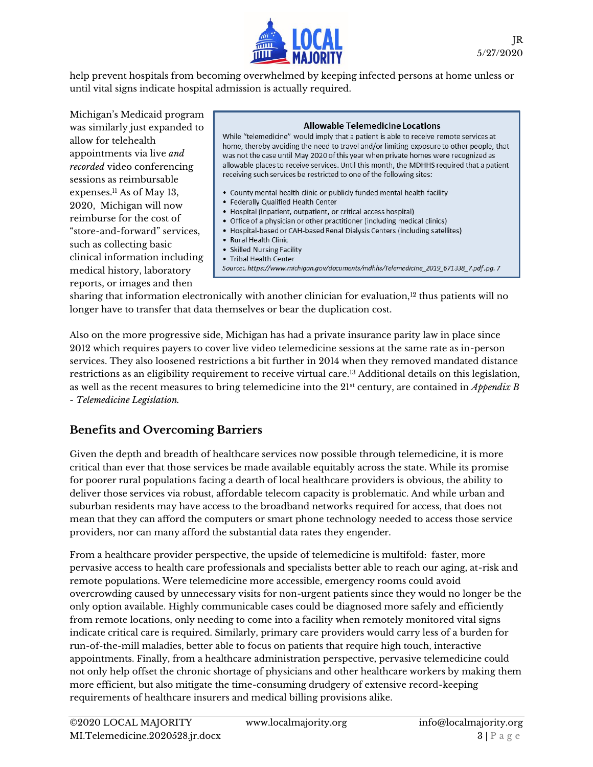

help prevent hospitals from becoming overwhelmed by keeping infected persons at home unless or until vital signs indicate hospital admission is actually required.

Michigan's Medicaid program was similarly just expanded to allow for telehealth appointments via live *and recorded* video conferencing sessions as reimbursable expenses.<sup>11</sup> As of May 13, 2020, Michigan will now reimburse for the cost of "store-and-forward" services, such as collecting basic clinical information including medical history, laboratory reports, or images and then

#### Allowable Telemedicine Locations While "telemedicine" would imply that a patient is able to receive remote services at home, thereby avoiding the need to travel and/or limiting exposure to other people, that was not the case until May 2020 of this year when private homes were recognized as allowable places to receive services. Until this month, the MDHHS required that a patient receiving such services be restricted to one of the following sites: • County mental health clinic or publicly funded mental health facility • Federally Qualified Health Center

- 
- Hospital (inpatient, outpatient, or critical access hospital)
- Office of a physician or other practitioner (including medical clinics) • Hospital-based or CAH-based Renal Dialysis Centers (including satellites)
- Rural Health Clinic
- Skilled Nursing Facility
- Tribal Health Center
- Source:, https://www.michigan.gov/documents/mdhhs/Telemedicine\_2019\_671338\_7.pdf,pg. 7

sharing that information electronically with another clinician for evaluation, $12$  thus patients will no longer have to transfer that data themselves or bear the duplication cost.

Also on the more progressive side, Michigan has had a private insurance parity law in place since 2012 which requires payers to cover live video telemedicine sessions at the same rate as in-person services. They also loosened restrictions a bit further in 2014 when they removed mandated distance restrictions as an eligibility requirement to receive virtual care.<sup>13</sup> Additional details on this legislation, as well as the recent measures to bring telemedicine into the 21st century, are contained in *Appendix B - Telemedicine Legislation.* 

### **Benefits and Overcoming Barriers**

Given the depth and breadth of healthcare services now possible through telemedicine, it is more critical than ever that those services be made available equitably across the state. While its promise for poorer rural populations facing a dearth of local healthcare providers is obvious, the ability to deliver those services via robust, affordable telecom capacity is problematic. And while urban and suburban residents may have access to the broadband networks required for access, that does not mean that they can afford the computers or smart phone technology needed to access those service providers, nor can many afford the substantial data rates they engender.

From a healthcare provider perspective, the upside of telemedicine is multifold: faster, more pervasive access to health care professionals and specialists better able to reach our aging, at-risk and remote populations. Were telemedicine more accessible, emergency rooms could avoid overcrowding caused by unnecessary visits for non-urgent patients since they would no longer be the only option available. Highly communicable cases could be diagnosed more safely and efficiently from remote locations, only needing to come into a facility when remotely monitored vital signs indicate critical care is required. Similarly, primary care providers would carry less of a burden for run-of-the-mill maladies, better able to focus on patients that require high touch, interactive appointments. Finally, from a healthcare administration perspective, pervasive telemedicine could not only help offset the chronic shortage of physicians and other healthcare workers by making them more efficient, but also mitigate the time-consuming drudgery of extensive record-keeping requirements of healthcare insurers and medical billing provisions alike.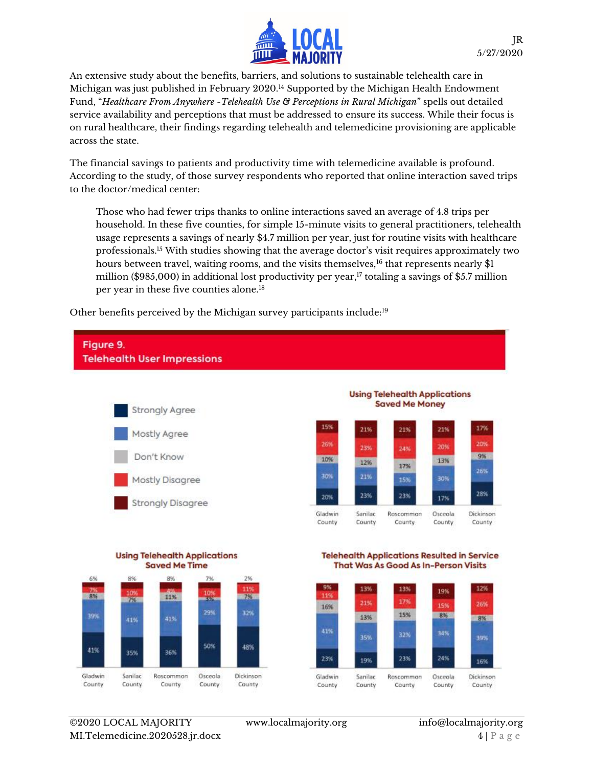

An extensive study about the benefits, barriers, and solutions to sustainable telehealth care in Michigan was just published in February 2020.<sup>14</sup> Supported by the Michigan Health Endowment Fund, "*Healthcare From Anywhere -Telehealth Use & Perceptions in Rural Michigan*" spells out detailed service availability and perceptions that must be addressed to ensure its success. While their focus is on rural healthcare, their findings regarding telehealth and telemedicine provisioning are applicable across the state.

The financial savings to patients and productivity time with telemedicine available is profound. According to the study, of those survey respondents who reported that online interaction saved trips to the doctor/medical center:

Those who had fewer trips thanks to online interactions saved an average of 4.8 trips per household. In these five counties, for simple 15-minute visits to general practitioners, telehealth usage represents a savings of nearly \$4.7 million per year, just for routine visits with healthcare professionals.<sup>15</sup> With studies showing that the average doctor's visit requires approximately two hours between travel, waiting rooms, and the visits themselves,<sup>16</sup> that represents nearly \$1 million (\$985,000) in additional lost productivity per year, <sup>17</sup> totaling a savings of \$5.7 million per year in these five counties alone.<sup>18</sup>

Other benefits perceived by the Michigan survey participants include:19





35%

Sanifac

County

36%

Rascomman

County

41%

Gladwin

County

50%

Osceola

County

48%

Dickinson

County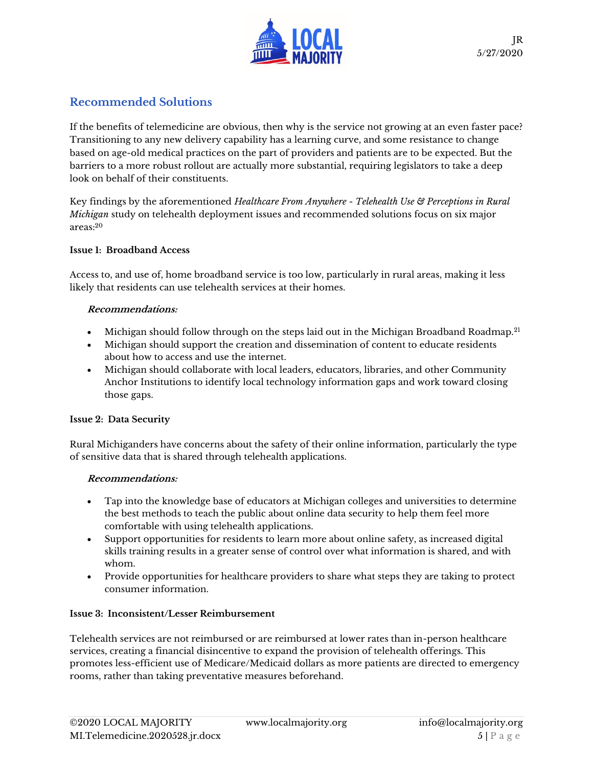

### **Recommended Solutions**

If the benefits of telemedicine are obvious, then why is the service not growing at an even faster pace? Transitioning to any new delivery capability has a learning curve, and some resistance to change based on age-old medical practices on the part of providers and patients are to be expected. But the barriers to a more robust rollout are actually more substantial, requiring legislators to take a deep look on behalf of their constituents.

Key findings by the aforementioned *Healthcare From Anywhere - Telehealth Use & Perceptions in Rural Michigan* study on telehealth deployment issues and recommended solutions focus on six major areas:<sup>20</sup>

#### **Issue 1: Broadband Access**

Access to, and use of, home broadband service is too low, particularly in rural areas, making it less likely that residents can use telehealth services at their homes.

#### **Recommendations:**

- Michigan should follow through on the steps laid out in the Michigan Broadband Roadmap.<sup>21</sup>
- Michigan should support the creation and dissemination of content to educate residents about how to access and use the internet.
- Michigan should collaborate with local leaders, educators, libraries, and other Community Anchor Institutions to identify local technology information gaps and work toward closing those gaps.

### **Issue 2: Data Security**

Rural Michiganders have concerns about the safety of their online information, particularly the type of sensitive data that is shared through telehealth applications.

### **Recommendations:**

- Tap into the knowledge base of educators at Michigan colleges and universities to determine the best methods to teach the public about online data security to help them feel more comfortable with using telehealth applications.
- Support opportunities for residents to learn more about online safety, as increased digital skills training results in a greater sense of control over what information is shared, and with whom.
- Provide opportunities for healthcare providers to share what steps they are taking to protect consumer information.

#### **Issue 3: Inconsistent/Lesser Reimbursement**

Telehealth services are not reimbursed or are reimbursed at lower rates than in-person healthcare services, creating a financial disincentive to expand the provision of telehealth offerings. This promotes less-efficient use of Medicare/Medicaid dollars as more patients are directed to emergency rooms, rather than taking preventative measures beforehand.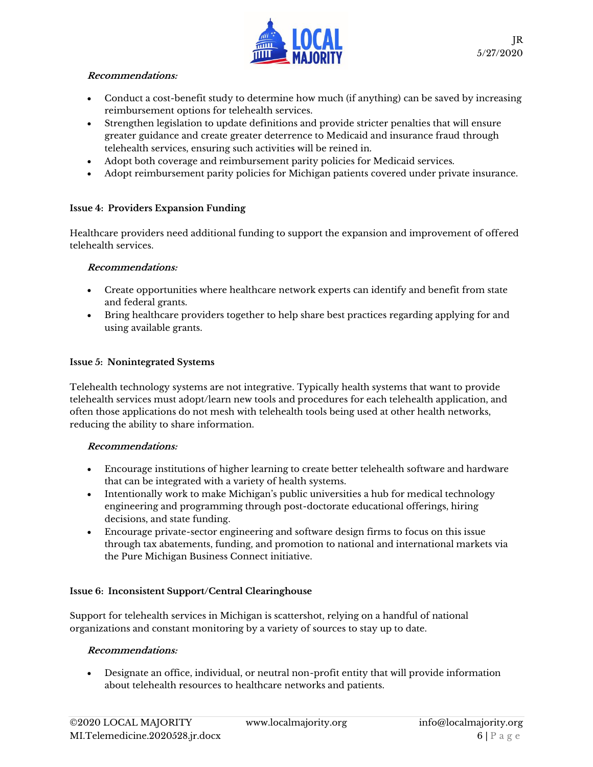

#### **Recommendations:**

- Conduct a cost-benefit study to determine how much (if anything) can be saved by increasing reimbursement options for telehealth services.
- Strengthen legislation to update definitions and provide stricter penalties that will ensure greater guidance and create greater deterrence to Medicaid and insurance fraud through telehealth services, ensuring such activities will be reined in.
- Adopt both coverage and reimbursement parity policies for Medicaid services.
- Adopt reimbursement parity policies for Michigan patients covered under private insurance.

#### **Issue 4: Providers Expansion Funding**

Healthcare providers need additional funding to support the expansion and improvement of offered telehealth services.

#### **Recommendations:**

- Create opportunities where healthcare network experts can identify and benefit from state and federal grants.
- Bring healthcare providers together to help share best practices regarding applying for and using available grants.

#### **Issue 5: Nonintegrated Systems**

Telehealth technology systems are not integrative. Typically health systems that want to provide telehealth services must adopt/learn new tools and procedures for each telehealth application, and often those applications do not mesh with telehealth tools being used at other health networks, reducing the ability to share information.

#### **Recommendations:**

- Encourage institutions of higher learning to create better telehealth software and hardware that can be integrated with a variety of health systems.
- Intentionally work to make Michigan's public universities a hub for medical technology engineering and programming through post-doctorate educational offerings, hiring decisions, and state funding.
- Encourage private-sector engineering and software design firms to focus on this issue through tax abatements, funding, and promotion to national and international markets via the Pure Michigan Business Connect initiative.

#### **Issue 6: Inconsistent Support/Central Clearinghouse**

Support for telehealth services in Michigan is scattershot, relying on a handful of national organizations and constant monitoring by a variety of sources to stay up to date.

#### **Recommendations:**

• Designate an office, individual, or neutral non-profit entity that will provide information about telehealth resources to healthcare networks and patients.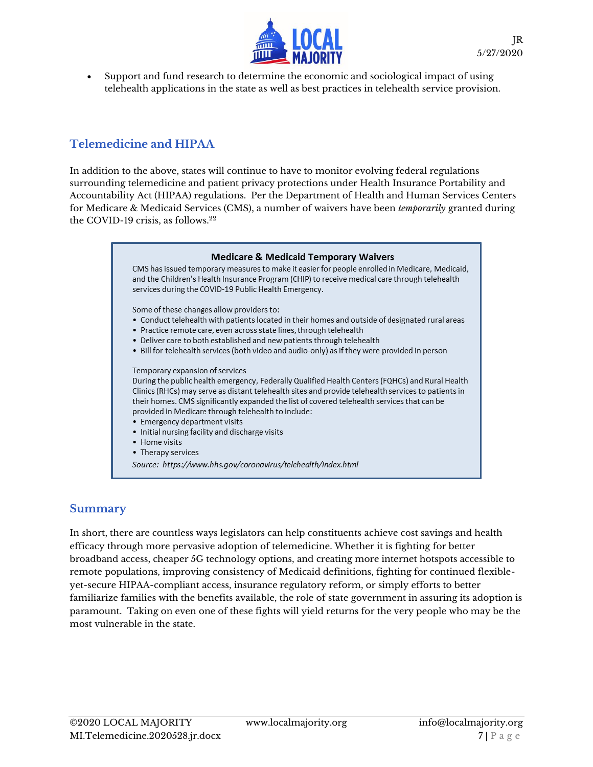

• Support and fund research to determine the economic and sociological impact of using telehealth applications in the state as well as best practices in telehealth service provision.

### **Telemedicine and HIPAA**

In addition to the above, states will continue to have to monitor evolving federal regulations surrounding telemedicine and patient privacy protections under Health Insurance Portability and Accountability Act (HIPAA) regulations. Per the Department of Health and Human Services Centers for Medicare & Medicaid Services (CMS), a number of waivers have been *temporarily* granted during the COVID-19 crisis, as follows. 22



### **Summary**

In short, there are countless ways legislators can help constituents achieve cost savings and health efficacy through more pervasive adoption of telemedicine. Whether it is fighting for better broadband access, cheaper 5G technology options, and creating more internet hotspots accessible to remote populations, improving consistency of Medicaid definitions, fighting for continued flexibleyet-secure HIPAA-compliant access, insurance regulatory reform, or simply efforts to better familiarize families with the benefits available, the role of state government in assuring its adoption is paramount. Taking on even one of these fights will yield returns for the very people who may be the most vulnerable in the state.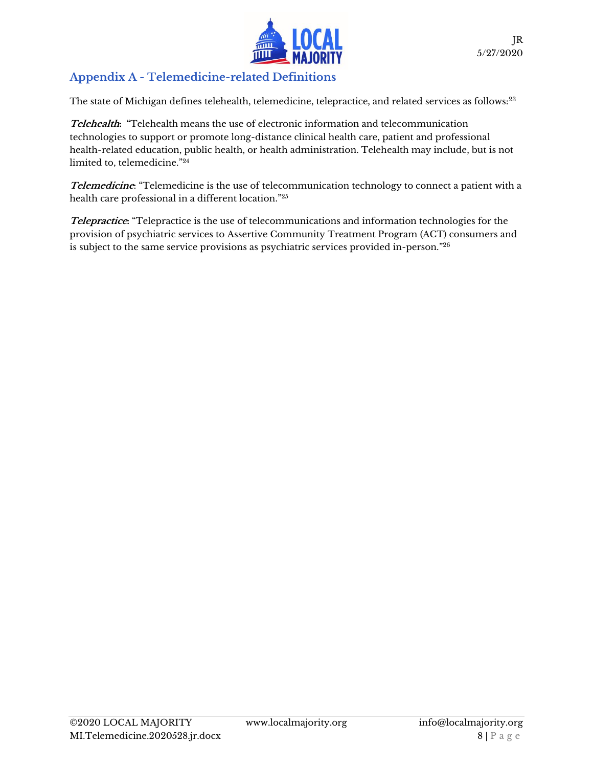

## **Appendix A - Telemedicine-related Definitions**

The state of Michigan defines telehealth, telemedicine, telepractice, and related services as follows:<sup>23</sup>

**Telehealth: "**Telehealth means the use of electronic information and telecommunication technologies to support or promote long-distance clinical health care, patient and professional health-related education, public health, or health administration. Telehealth may include, but is not limited to, telemedicine."<sup>24</sup>

**Telemedicine**: "Telemedicine is the use of telecommunication technology to connect a patient with a health care professional in a different location."<sup>25</sup>

**Telepractice:** "Telepractice is the use of telecommunications and information technologies for the provision of psychiatric services to Assertive Community Treatment Program (ACT) consumers and is subject to the same service provisions as psychiatric services provided in-person."26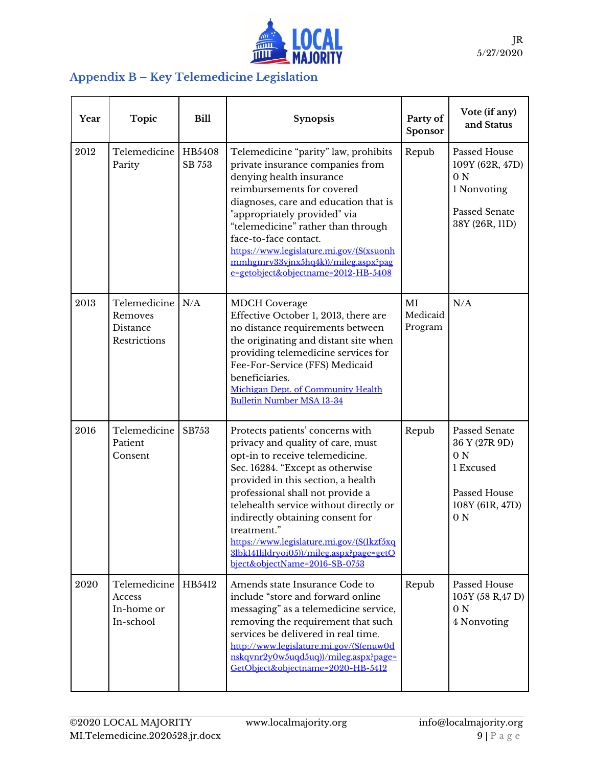

## **Appendix B – Key Telemedicine Legislation**

| Year | <b>Topic</b>                                        | <b>Bill</b> | <b>Synopsis</b>                                                                                                                                                                                                                                                                                                                                                                                                                               | Party of<br>Sponsor       | Vote (if any)<br>and Status                                                                                        |
|------|-----------------------------------------------------|-------------|-----------------------------------------------------------------------------------------------------------------------------------------------------------------------------------------------------------------------------------------------------------------------------------------------------------------------------------------------------------------------------------------------------------------------------------------------|---------------------------|--------------------------------------------------------------------------------------------------------------------|
| 2012 | Telemedicine   HB5408<br>Parity                     | SB 753      | Telemedicine "parity" law, prohibits<br>private insurance companies from<br>denying health insurance<br>reimbursements for covered<br>diagnoses, care and education that is<br>"appropriately provided" via<br>"telemedicine" rather than through<br>face-to-face contact.<br>https://www.legislature.mi.gov/(S(xsuonh<br>mmhgmrv33vjnx5hq4k))/mileg.aspx?pag<br>e=getobject&objectname=2012-HB-5408                                          | Repub                     | Passed House<br>109Y (62R, 47D)<br>0 <sub>N</sub><br>1 Nonvoting<br>Passed Senate<br>38Y (26R, 11D)                |
| 2013 | Telemedicine<br>Removes<br>Distance<br>Restrictions | N/A         | <b>MDCH</b> Coverage<br>Effective October 1, 2013, there are<br>no distance requirements between<br>the originating and distant site when<br>providing telemedicine services for<br>Fee-For-Service (FFS) Medicaid<br>beneficiaries.<br>Michigan Dept. of Community Health<br><b>Bulletin Number MSA 13-34</b>                                                                                                                                | MI<br>Medicaid<br>Program | N/A                                                                                                                |
| 2016 | Telemedicine<br>Patient<br>Consent                  | SB753       | Protects patients' concerns with<br>privacy and quality of care, must<br>opt-in to receive telemedicine.<br>Sec. 16284. "Except as otherwise<br>provided in this section, a health<br>professional shall not provide a<br>telehealth service without directly or<br>indirectly obtaining consent for<br>treatment."<br>https://www.legislature.mi.gov/(S(1kzf5xq<br>3lbk141lildryoi05))/mileg.aspx?page=getO<br>bject&objectName=2016-SB-0753 | Repub                     | Passed Senate<br>36 Y (27R 9D)<br>0 <sub>N</sub><br>1 Excused<br>Passed House<br>108Y (61R, 47D)<br>0 <sub>N</sub> |
| 2020 | Telemedicine<br>Access<br>In-home or<br>In-school   | HB5412      | Amends state Insurance Code to<br>include "store and forward online<br>messaging" as a telemedicine service,<br>removing the requirement that such<br>services be delivered in real time.<br>http://www.legislature.mi.gov/(S(enuw0d<br>nskqvnr2y0w5uqd5uq))/mileg.aspx?page=<br>GetObject&objectname=2020-HB-5412                                                                                                                            | Repub                     | Passed House<br>105Y (58 R,47 D)<br>0 <sub>N</sub><br>4 Nonvoting                                                  |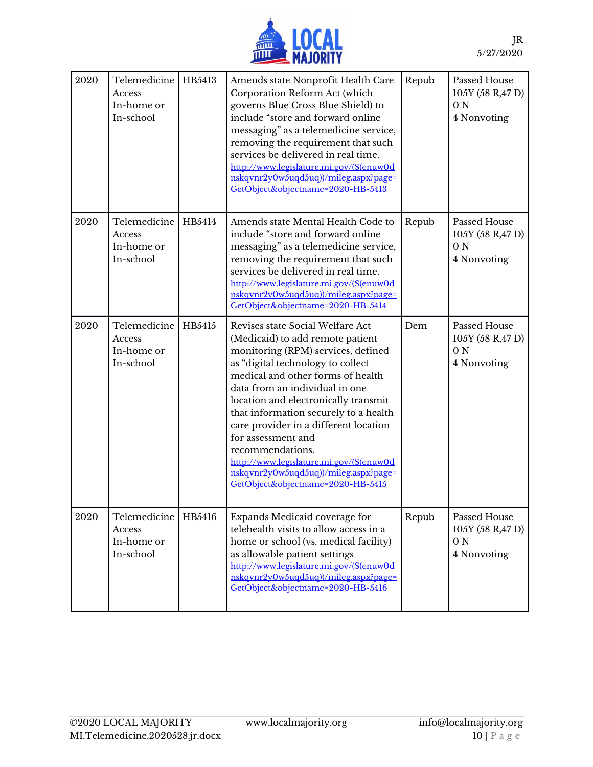

| 2020 | Telemedicine<br>Access<br>In-home or<br>In-school | HB5413 | Amends state Nonprofit Health Care<br>Corporation Reform Act (which<br>governs Blue Cross Blue Shield) to<br>include "store and forward online<br>messaging" as a telemedicine service,<br>removing the requirement that such<br>services be delivered in real time.<br>http://www.legislature.mi.gov/(S(enuw0d<br>nskqvnr2y0w5uqd5uq))/mileg.aspx?page=<br>GetObject&objectname=2020-HB-5413                                                                                                                       | Repub | Passed House<br>105Y (58 R,47 D)<br>0 <sub>N</sub><br>4 Nonvoting |
|------|---------------------------------------------------|--------|---------------------------------------------------------------------------------------------------------------------------------------------------------------------------------------------------------------------------------------------------------------------------------------------------------------------------------------------------------------------------------------------------------------------------------------------------------------------------------------------------------------------|-------|-------------------------------------------------------------------|
| 2020 | Telemedicine<br>Access<br>In-home or<br>In-school | HB5414 | Amends state Mental Health Code to<br>include "store and forward online<br>messaging" as a telemedicine service,<br>removing the requirement that such<br>services be delivered in real time.<br>http://www.legislature.mi.gov/(S(enuw0d<br>nskqvnr2y0w5uqd5uq))/mileg.aspx?page=<br>GetObject&objectname=2020-HB-5414                                                                                                                                                                                              | Repub | Passed House<br>105Y (58 R,47 D)<br>0 <sub>N</sub><br>4 Nonvoting |
| 2020 | Telemedicine<br>Access<br>In-home or<br>In-school | HB5415 | Revises state Social Welfare Act<br>(Medicaid) to add remote patient<br>monitoring (RPM) services, defined<br>as "digital technology to collect<br>medical and other forms of health<br>data from an individual in one<br>location and electronically transmit<br>that information securely to a health<br>care provider in a different location<br>for assessment and<br>recommendations.<br>http://www.legislature.mi.gov/(S(enuw0d<br>nskqvnr2y0w5uqd5uq))/mileg.aspx?page=<br>GetObject&objectname=2020-HB-5415 | Dem   | Passed House<br>105Y (58 R,47 D)<br>0 <sub>N</sub><br>4 Nonvoting |
| 2020 | Telemedicine<br>Access<br>In-home or<br>In-school | HB5416 | Expands Medicaid coverage for<br>telehealth visits to allow access in a<br>home or school (vs. medical facility)<br>as allowable patient settings<br>http://www.legislature.mi.gov/(S(enuw0d<br>nskqvnr2y0w5uqd5uq))/mileg.aspx?page=<br>GetObject&objectname=2020-HB-5416                                                                                                                                                                                                                                          | Repub | Passed House<br>105Y (58 R,47 D)<br>0 <sub>N</sub><br>4 Nonvoting |